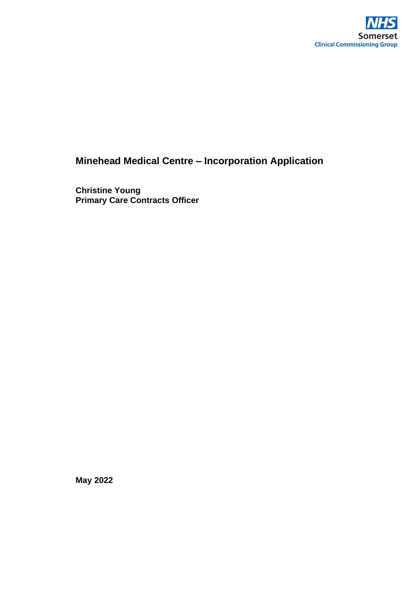

# **Minehead Medical Centre – Incorporation Application**

**Christine Young Primary Care Contracts Officer**

**May 2022**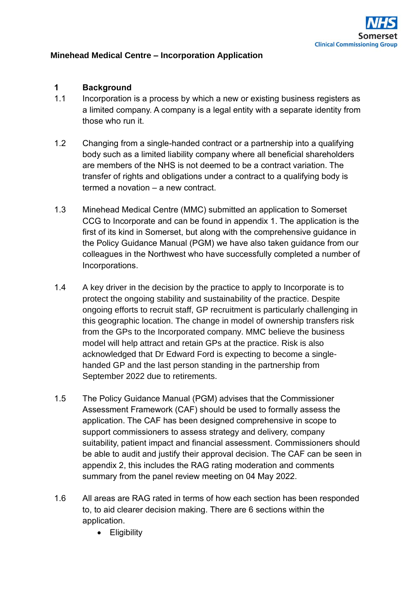

#### **Minehead Medical Centre – Incorporation Application**

#### **1 Background**

- 1.1 Incorporation is a process by which a new or existing business registers as a limited company. A company is a legal entity with a separate identity from those who run it.
- 1.2 Changing from a single-handed contract or a partnership into a qualifying body such as a limited liability company where all beneficial shareholders are members of the NHS is not deemed to be a contract variation. The transfer of rights and obligations under a contract to a qualifying body is termed a novation – a new contract.
- 1.3 Minehead Medical Centre (MMC) submitted an application to Somerset CCG to Incorporate and can be found in appendix 1. The application is the first of its kind in Somerset, but along with the comprehensive guidance in the Policy Guidance Manual (PGM) we have also taken guidance from our colleagues in the Northwest who have successfully completed a number of Incorporations.
- 1.4 A key driver in the decision by the practice to apply to Incorporate is to protect the ongoing stability and sustainability of the practice. Despite ongoing efforts to recruit staff, GP recruitment is particularly challenging in this geographic location. The change in model of ownership transfers risk from the GPs to the Incorporated company. MMC believe the business model will help attract and retain GPs at the practice. Risk is also acknowledged that Dr Edward Ford is expecting to become a singlehanded GP and the last person standing in the partnership from September 2022 due to retirements.
- 1.5 The Policy Guidance Manual (PGM) advises that the Commissioner Assessment Framework (CAF) should be used to formally assess the application. The CAF has been designed comprehensive in scope to support commissioners to assess strategy and delivery, company suitability, patient impact and financial assessment. Commissioners should be able to audit and justify their approval decision. The CAF can be seen in appendix 2, this includes the RAG rating moderation and comments summary from the panel review meeting on 04 May 2022.
- 1.6 All areas are RAG rated in terms of how each section has been responded to, to aid clearer decision making. There are 6 sections within the application.
	- Eligibility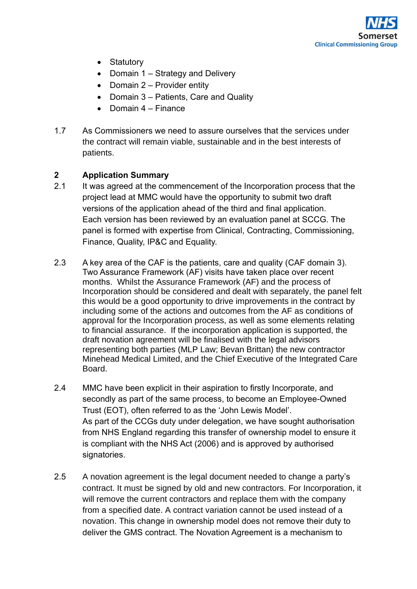

- Statutory
- Domain 1 Strategy and Delivery
- Domain 2 Provider entity
- Domain 3 Patients, Care and Quality
- Domain 4 Finance
- 1.7 As Commissioners we need to assure ourselves that the services under the contract will remain viable, sustainable and in the best interests of patients.

## **2 Application Summary**

- 2.1 It was agreed at the commencement of the Incorporation process that the project lead at MMC would have the opportunity to submit two draft versions of the application ahead of the third and final application. Each version has been reviewed by an evaluation panel at SCCG. The panel is formed with expertise from Clinical, Contracting, Commissioning, Finance, Quality, IP&C and Equality.
- 2.3 A key area of the CAF is the patients, care and quality (CAF domain 3). Two Assurance Framework (AF) visits have taken place over recent months. Whilst the Assurance Framework (AF) and the process of Incorporation should be considered and dealt with separately, the panel felt this would be a good opportunity to drive improvements in the contract by including some of the actions and outcomes from the AF as conditions of approval for the Incorporation process, as well as some elements relating to financial assurance. If the incorporation application is supported, the draft novation agreement will be finalised with the legal advisors representing both parties (MLP Law; Bevan Brittan) the new contractor Minehead Medical Limited, and the Chief Executive of the Integrated Care Board.
- 2.4 MMC have been explicit in their aspiration to firstly Incorporate, and secondly as part of the same process, to become an Employee-Owned Trust (EOT), often referred to as the 'John Lewis Model'. As part of the CCGs duty under delegation, we have sought authorisation from NHS England regarding this transfer of ownership model to ensure it is compliant with the NHS Act (2006) and is approved by authorised signatories.
- 2.5 A novation agreement is the legal document needed to change a party's contract. It must be signed by old and new contractors. For Incorporation, it will remove the current contractors and replace them with the company from a specified date. A contract variation cannot be used instead of a novation. This change in ownership model does not remove their duty to deliver the GMS contract. The Novation Agreement is a mechanism to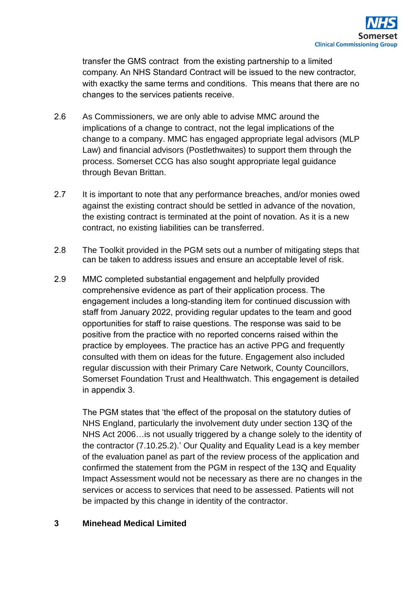transfer the GMS contract from the existing partnership to a limited company. An NHS Standard Contract will be issued to the new contractor, with exactky the same terms and conditions. This means that there are no changes to the services patients receive.

- 2.6 As Commissioners, we are only able to advise MMC around the implications of a change to contract, not the legal implications of the change to a company. MMC has engaged appropriate legal advisors (MLP Law) and financial advisors (Postlethwaites) to support them through the process. Somerset CCG has also sought appropriate legal guidance through Bevan Brittan.
- 2.7 It is important to note that any performance breaches, and/or monies owed against the existing contract should be settled in advance of the novation, the existing contract is terminated at the point of novation. As it is a new contract, no existing liabilities can be transferred.
- 2.8 The Toolkit provided in the PGM sets out a number of mitigating steps that can be taken to address issues and ensure an acceptable level of risk.
- 2.9 MMC completed substantial engagement and helpfully provided comprehensive evidence as part of their application process. The engagement includes a long-standing item for continued discussion with staff from January 2022, providing regular updates to the team and good opportunities for staff to raise questions. The response was said to be positive from the practice with no reported concerns raised within the practice by employees. The practice has an active PPG and frequently consulted with them on ideas for the future. Engagement also included regular discussion with their Primary Care Network, County Councillors, Somerset Foundation Trust and Healthwatch. This engagement is detailed in appendix 3.

The PGM states that 'the effect of the proposal on the statutory duties of NHS England, particularly the involvement duty under section 13Q of the NHS Act 2006…is not usually triggered by a change solely to the identity of the contractor (7.10.25.2).' Our Quality and Equality Lead is a key member of the evaluation panel as part of the review process of the application and confirmed the statement from the PGM in respect of the 13Q and Equality Impact Assessment would not be necessary as there are no changes in the services or access to services that need to be assessed. Patients will not be impacted by this change in identity of the contractor.

## **3 Minehead Medical Limited**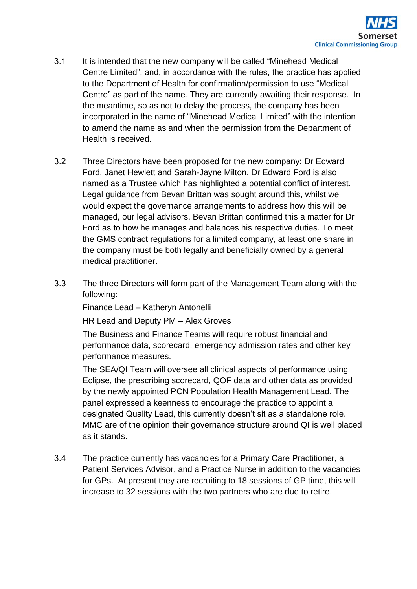

- 3.1 It is intended that the new company will be called "Minehead Medical Centre Limited", and, in accordance with the rules, the practice has applied to the Department of Health for confirmation/permission to use "Medical Centre" as part of the name. They are currently awaiting their response. In the meantime, so as not to delay the process, the company has been incorporated in the name of "Minehead Medical Limited" with the intention to amend the name as and when the permission from the Department of Health is received.
- 3.2 Three Directors have been proposed for the new company: Dr Edward Ford, Janet Hewlett and Sarah-Jayne Milton. Dr Edward Ford is also named as a Trustee which has highlighted a potential conflict of interest. Legal guidance from Bevan Brittan was sought around this, whilst we would expect the governance arrangements to address how this will be managed, our legal advisors, Bevan Brittan confirmed this a matter for Dr Ford as to how he manages and balances his respective duties. To meet the GMS contract regulations for a limited company, at least one share in the company must be both legally and beneficially owned by a general medical practitioner.
- 3.3 The three Directors will form part of the Management Team along with the following:

Finance Lead – Katheryn Antonelli

HR Lead and Deputy PM – Alex Groves

The Business and Finance Teams will require robust financial and performance data, scorecard, emergency admission rates and other key performance measures.

The SEA/QI Team will oversee all clinical aspects of performance using Eclipse, the prescribing scorecard, QOF data and other data as provided by the newly appointed PCN Population Health Management Lead. The panel expressed a keenness to encourage the practice to appoint a designated Quality Lead, this currently doesn't sit as a standalone role. MMC are of the opinion their governance structure around QI is well placed as it stands.

3.4 The practice currently has vacancies for a Primary Care Practitioner, a Patient Services Advisor, and a Practice Nurse in addition to the vacancies for GPs. At present they are recruiting to 18 sessions of GP time, this will increase to 32 sessions with the two partners who are due to retire.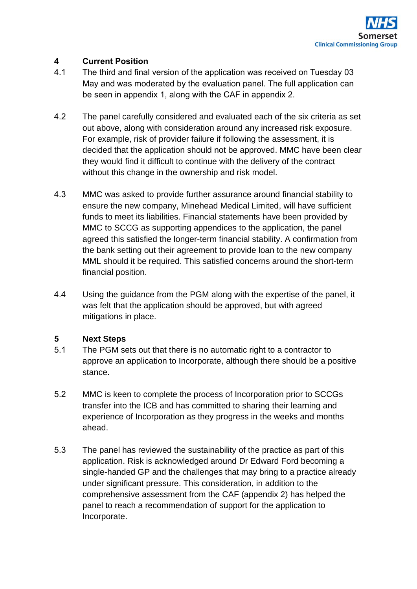

## **4 Current Position**

- 4.1 The third and final version of the application was received on Tuesday 03 May and was moderated by the evaluation panel. The full application can be seen in appendix 1, along with the CAF in appendix 2.
- 4.2 The panel carefully considered and evaluated each of the six criteria as set out above, along with consideration around any increased risk exposure. For example, risk of provider failure if following the assessment, it is decided that the application should not be approved. MMC have been clear they would find it difficult to continue with the delivery of the contract without this change in the ownership and risk model.
- 4.3 MMC was asked to provide further assurance around financial stability to ensure the new company, Minehead Medical Limited, will have sufficient funds to meet its liabilities. Financial statements have been provided by MMC to SCCG as supporting appendices to the application, the panel agreed this satisfied the longer-term financial stability. A confirmation from the bank setting out their agreement to provide loan to the new company MML should it be required. This satisfied concerns around the short-term financial position.
- 4.4 Using the guidance from the PGM along with the expertise of the panel, it was felt that the application should be approved, but with agreed mitigations in place.

## **5 Next Steps**

- 5.1 The PGM sets out that there is no automatic right to a contractor to approve an application to Incorporate, although there should be a positive stance.
- 5.2 MMC is keen to complete the process of Incorporation prior to SCCGs transfer into the ICB and has committed to sharing their learning and experience of Incorporation as they progress in the weeks and months ahead.
- 5.3 The panel has reviewed the sustainability of the practice as part of this application. Risk is acknowledged around Dr Edward Ford becoming a single-handed GP and the challenges that may bring to a practice already under significant pressure. This consideration, in addition to the comprehensive assessment from the CAF (appendix 2) has helped the panel to reach a recommendation of support for the application to Incorporate.